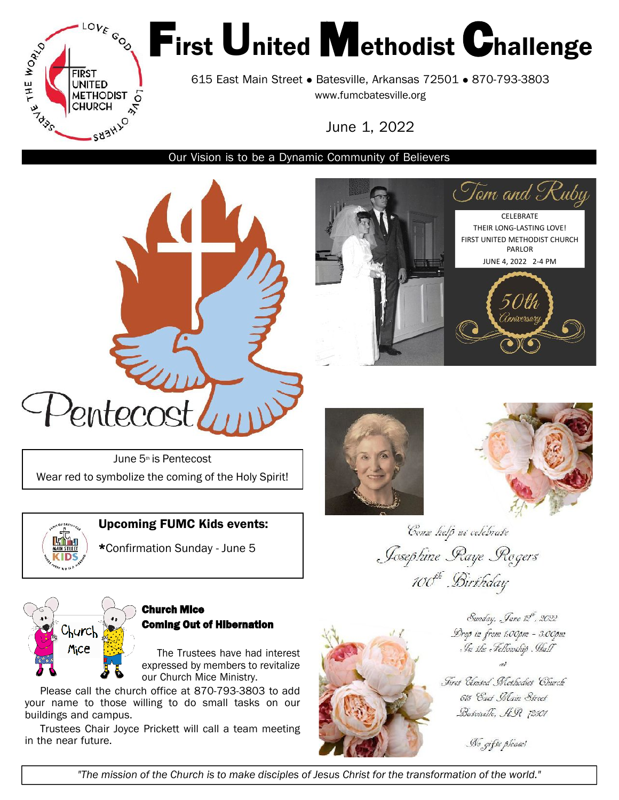

# First United Methodist Challenge

615 East Main Street • Batesville, Arkansas 72501 • 870-793-3803 <www.fumcbatesville.org>

June 1, 2022

Our Vision is to be a Dynamic Community of Believers



June 5<sup>th</sup> is Pentecost Wear red to symbolize the coming of the Holy Spirit!



Upcoming FUMC Kids events:

\*Confirmation Sunday - June 5





**CELEBRATE** THEIR LONG-LASTING LOVE! FIRST UNITED METHODIST CHURCH PARLOR JUNE 4, 2022 2-4 PM

(nniversar

Tom and Ruby

Come help us celebrate Josephine Raye Rogers 100<sup>th</sup> Birthday



# Church Mice Coming Out of Hibernation

The Trustees have had interest expressed by members to revitalize our Church Mice Ministry.

Please call the church office at 870-793-3803 to add your name to those willing to do small tasks on our buildings and campus.

Trustees Chair Joyce Prickett will call a team meeting in the near future.



Sunday, Jane 12th, 2022 Drop in from 1:00pm - 3:00pm In the Fellowship Hall

First Cleated Methodiet Church 615 Cast Main Street Basesulle, HR 72501

No gifts please!

"The mission of the Church is to make disciples of Jesus Christ for the transformation of the world."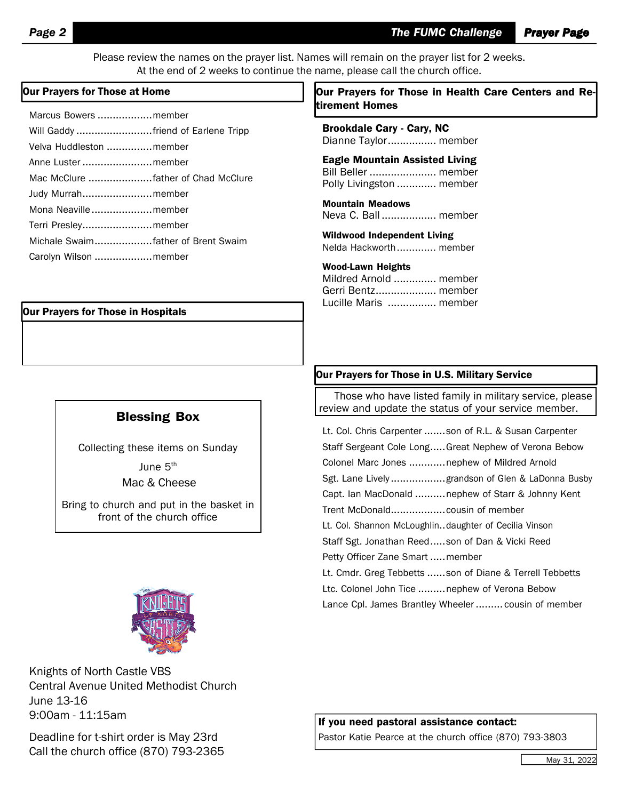Please review the names on the prayer list. Names will remain on the prayer list for 2 weeks. At the end of 2 weeks to continue the name, please call the church office.

| Marcus Bowers member               |  |
|------------------------------------|--|
| Will Gaddy friend of Earlene Tripp |  |
| Velva Huddleston member            |  |
| Anne Luster  member                |  |
|                                    |  |
| Judy Murrahmember                  |  |
| Mona Neavillemember                |  |
| Terri Presleymember                |  |
| Michale Swaimfather of Brent Swaim |  |
| Carolyn Wilson  member             |  |

#### Our Prayers for Those in Hospitals

#### Blessing Box

Collecting these items on Sunday June  $5^{\text{th}}$ Mac & Cheese

Bring to church and put in the basket in front of the church office



Knights of North Castle VBS Central Avenue United Methodist Church June 13-16 9:00am - 11:15am

Deadline for t-shirt order is May 23rd Call the church office (870) 793-2365

#### Our Prayers for Those at Home  $\vert$  Dur Prayers for Those in Health Care Centers and Retirement Homes

Brookdale Cary - Cary, NC Dianne Taylor................ member

Eagle Mountain Assisted Living Bill Beller ...................... member Polly Livingston ............. member

Mountain Meadows Neva C. Ball .................. member

Wildwood Independent Living Nelda Hackworth............. member

#### Wood-Lawn Heights

Mildred Arnold .............. member Gerri Bentz.................... member Lucille Maris ................ member

#### Our Prayers for Those in U.S. Military Service

Those who have listed family in military service, please review and update the status of your service member.

Lt. Col. Chris Carpenter .......son of R.L. & Susan Carpenter Staff Sergeant Cole Long.....Great Nephew of Verona Bebow Colonel Marc Jones .............nephew of Mildred Arnold Sgt. Lane Lively ..................grandson of Glen & LaDonna Busby Capt. Ian MacDonald ..........nephew of Starr & Johnny Kent Trent McDonald..................cousin of member Lt. Col. Shannon McLoughlin..daughter of Cecilia Vinson Staff Sgt. Jonathan Reed.....son of Dan & Vicki Reed Petty Officer Zane Smart .....member Lt. Cmdr. Greg Tebbetts ......son of Diane & Terrell Tebbetts Ltc. Colonel John Tice .........nephew of Verona Bebow Lance Cpl. James Brantley Wheeler ......... cousin of member

If you need pastoral assistance contact:

Pastor Katie Pearce at the church office (870) 793-3803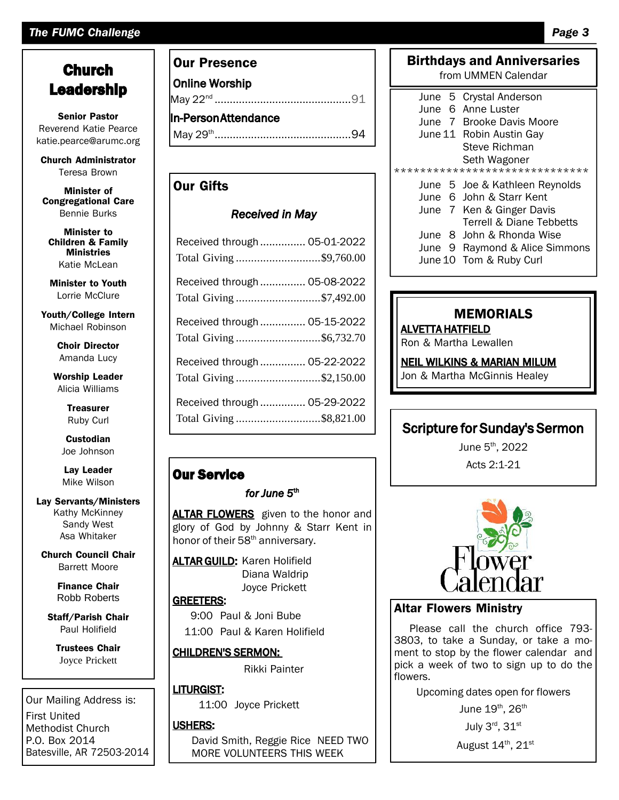# *The FUMC Challenge Page 3*

# Church Leadership

Senior Pastor Reverend Katie Pearce katie.pearce@arumc.org

Church [Administrator](mailto:pearce@arumc.orgChurch) Teresa Brown

Minister of Congregational Care Bennie Burks

Minister to Children & Family Ministries Katie McLean

Minister to Youth Lorrie McClure

Youth/College Intern Michael Robinson

> Choir Director Amanda Lucy

Worship Leader Alicia Williams

> **Treasurer** Ruby Curl

**Custodian** Joe Johnson

Lay Leader Mike Wilson

#### Lay Servants/Ministers Kathy McKinney Sandy West Asa Whitaker

Church Council Chair Barrett Moore

> Finance Chair Robb Roberts

Staff/Parish Chair Paul Holifield

Trustees Chair Joyce Prickett

Our Mailing Address is: First United Methodist Church P.O. Box 2014 Batesville, AR 72503-2014

### Our Presence

Online Worship May 22nd .............................................91 In-PersonAttendance May 29th .............................................94

# Our Gifts

#### *Received in May*

| Received through  05-01-2022<br>Total Giving \$9,760.00 |  |                  |
|---------------------------------------------------------|--|------------------|
| Received through  05-08-2022<br>Total Giving \$7,492.00 |  |                  |
| Received through  05-15-2022<br>Total Giving \$6,732.70 |  | AL'<br>Ro        |
| Received through  05-22-2022<br>Total Giving \$2,150.00 |  | <b>NE</b><br>Jor |
| Received through  05-29-2022<br>Total Giving \$8,821.00 |  |                  |

# Our Service

#### *for June 5* th

ALTAR FLOWERS given to the honor and glory of God by Johnny & Starr Kent in honor of their 58<sup>th</sup> anniversary.

**ALTAR GUILD:** Karen Holifield Diana Waldrip Joyce Prickett

# GREETERS:

9:00 Paul & Joni Bube

11:00 Paul & Karen Holifield

#### CHILDREN'S SERMON:

Rikki Painter

#### LITURGIST:

11:00 Joyce Prickett

#### USHERS:

David Smith, Reggie Rice NEED TWO MORE VOLUNTEERS THIS WEEK

|                                | from UMMEN Calendar            |  |
|--------------------------------|--------------------------------|--|
|                                | June 5 Crystal Anderson        |  |
|                                | June 6 Anne Luster             |  |
|                                | June 7 Brooke Davis Moore      |  |
|                                | June 11 Robin Austin Gay       |  |
|                                | Steve Richman                  |  |
|                                | Seth Wagoner                   |  |
| ****************************** |                                |  |
|                                | June 5 Joe & Kathleen Reynolds |  |
|                                | June 6 John & Starr Kent       |  |
|                                | June 7 Ken & Ginger Davis      |  |
|                                | Terrell & Diane Tebbetts       |  |
|                                | June 8 John & Rhonda Wise      |  |
|                                | June 9 Raymond & Alice Simmons |  |
|                                | June 10 Tom & Ruby Curl        |  |

Birthdays and Anniversaries

# MEMORIALS

ALVETTA HATFIELD

Ron & Martha Lewallen

#### NEIL WILKINS & MARIAN MILUM

Jon & Martha McGinnis Healey

# Scripture for Sunday's Sermon

June 5 th , 2022 Acts 2:1-21



### Altar Flowers Ministry

Please call the church office 793-3803, to take a Sunday, or take a moment to stop by the flower calendar and pick a week of two to sign up to do the flowers.

Upcoming dates open for flowers

June 19<sup>th</sup>, 26<sup>th</sup>

July 3 $^{\sf rd}$ , 31 $^{\sf st}$ 

August 14<sup>th</sup>, 21 $^{\rm st}$